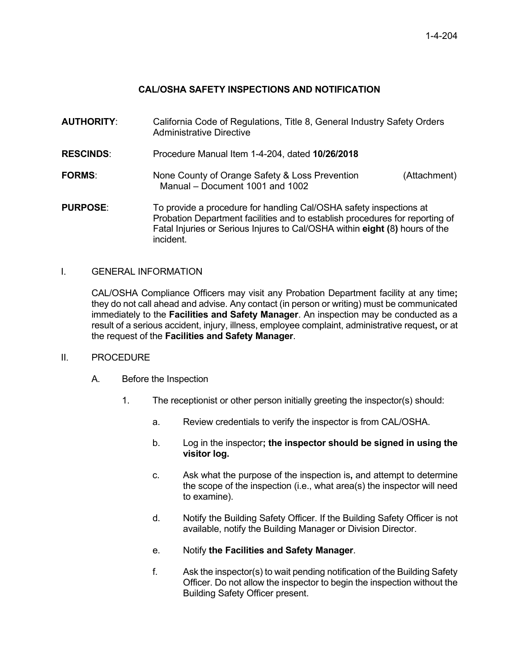# **CAL/OSHA SAFETY INSPECTIONS AND NOTIFICATION**

**AUTHORITY**: California Code of Regulations, Title 8, General Industry Safety Orders Administrative Directive **RESCINDS**: Procedure Manual Item 1-4-204, dated **10/26/2018 FORMS:** None County of Orange Safety & Loss Prevention Manual – Document 1001 and 1002 (Attachment) **PURPOSE:** To provide a procedure for handling Cal/OSHA safety inspections at Probation Department facilities and to establish procedures for reporting of Fatal Injuries or Serious Injures to Cal/OSHA within **eight (**8**)** hours of the

### I. GENERAL INFORMATION

incident.

CAL/OSHA Compliance Officers may visit any Probation Department facility at any time**;**  they do not call ahead and advise. Any contact (in person or writing) must be communicated immediately to the **Facilities and Safety Manager**. An inspection may be conducted as a result of a serious accident, injury, illness, employee complaint, administrative request**,** or at the request of the **Facilities and Safety Manager**.

#### II. PROCEDURE

- A. Before the Inspection
	- 1. The receptionist or other person initially greeting the inspector(s) should:
		- a. Review credentials to verify the inspector is from CAL/OSHA.
		- b. Log in the inspector**; the inspector should be signed in using the visitor log.**
		- c. Ask what the purpose of the inspection is**,** and attempt to determine the scope of the inspection (i.e., what area(s) the inspector will need to examine).
		- d. Notify the Building Safety Officer. If the Building Safety Officer is not available, notify the Building Manager or Division Director.
		- e. Notify **the Facilities and Safety Manager**.
		- f. Ask the inspector(s) to wait pending notification of the Building Safety Officer. Do not allow the inspector to begin the inspection without the Building Safety Officer present.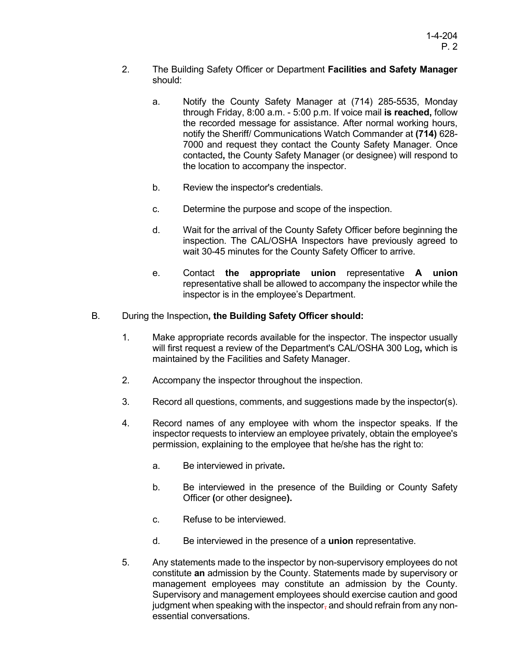- 2. The Building Safety Officer or Department **Facilities and Safety Manager** should:
	- a. Notify the County Safety Manager at (714) 285-5535, Monday through Friday, 8:00 a.m. - 5:00 p.m. If voice mail **is reached,** follow the recorded message for assistance. After normal working hours, notify the Sheriff/ Communications Watch Commander at **(714)** 628- 7000 and request they contact the County Safety Manager. Once contacted**,** the County Safety Manager (or designee) will respond to the location to accompany the inspector.
	- b. Review the inspector's credentials.
	- c. Determine the purpose and scope of the inspection.
	- d. Wait for the arrival of the County Safety Officer before beginning the inspection. The CAL/OSHA Inspectors have previously agreed to wait 30-45 minutes for the County Safety Officer to arrive.
	- e. Contact **the appropriate union** representative **A union**  representative shall be allowed to accompany the inspector while the inspector is in the employee's Department.
- B. During the Inspection**, the Building Safety Officer should:**
	- 1. Make appropriate records available for the inspector. The inspector usually will first request a review of the Department's CAL/OSHA 300 Log**,** which is maintained by the Facilities and Safety Manager.
	- 2. Accompany the inspector throughout the inspection.
	- 3. Record all questions, comments, and suggestions made by the inspector(s).
	- 4. Record names of any employee with whom the inspector speaks. If the inspector requests to interview an employee privately, obtain the employee's permission, explaining to the employee that he/she has the right to:
		- a. Be interviewed in private**.**
		- b. Be interviewed in the presence of the Building or County Safety Officer **(**or other designee**).**
		- c. Refuse to be interviewed.
		- d. Be interviewed in the presence of a **union** representative.
	- 5. Any statements made to the inspector by non-supervisory employees do not constitute **an** admission by the County. Statements made by supervisory or management employees may constitute an admission by the County. Supervisory and management employees should exercise caution and good judgment when speaking with the inspector, and should refrain from any nonessential conversations.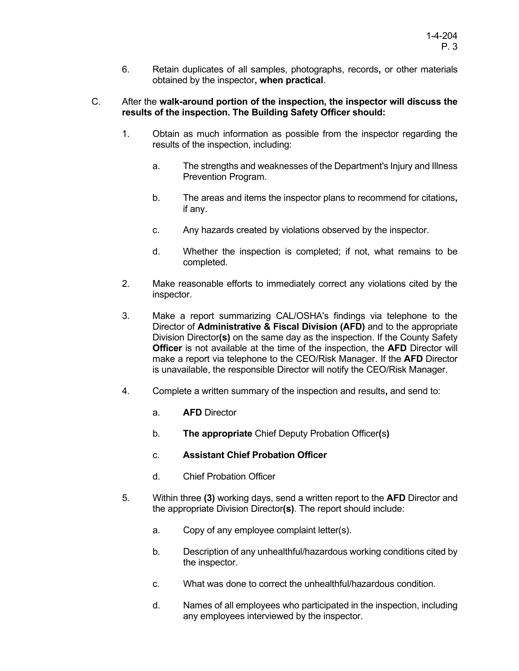6. Retain duplicates of all samples, photographs, records**,** or other materials obtained by the inspector**, when practical**.

#### C. After the **walk-around portion of the inspection, the inspector will discuss the results of the inspection. The Building Safety Officer should:**

- 1. Obtain as much information as possible from the inspector regarding the results of the inspection, including:
	- a. The strengths and weaknesses of the Department's Injury and Illness Prevention Program.
	- b. The areas and items the inspector plans to recommend for citations**,** if any.
	- c. Any hazards created by violations observed by the inspector.
	- d. Whether the inspection is completed; if not, what remains to be completed.
- 2. Make reasonable efforts to immediately correct any violations cited by the inspector.
- 3. Make a report summarizing CAL/OSHA's findings via telephone to the Director of **Administrative & Fiscal Division (AFD)** and to the appropriate Division Director**(s)** on the same day as the inspection. If the County Safety **Officer** is not available at the time of the inspection, the **AFD** Director will make a report via telephone to the CEO/Risk Manager. If the **AFD** Director is unavailable, the responsible Director will notify the CEO/Risk Manager.
- 4. Complete a written summary of the inspection and results**,** and send to:
	- a. **AFD** Director
	- b. **The appropriate** Chief Deputy Probation Officer**(**s**)**
	- c. **Assistant Chief Probation Officer**
	- d. Chief Probation Officer
- 5. Within three **(3)** working days, send a written report to the **AFD** Director and the appropriate Division Director**(s)**. The report should include:
	- a. Copy of any employee complaint letter(s).
	- b. Description of any unhealthful/hazardous working conditions cited by the inspector.
	- c. What was done to correct the unhealthful/hazardous condition.
	- d. Names of all employees who participated in the inspection, including any employees interviewed by the inspector.